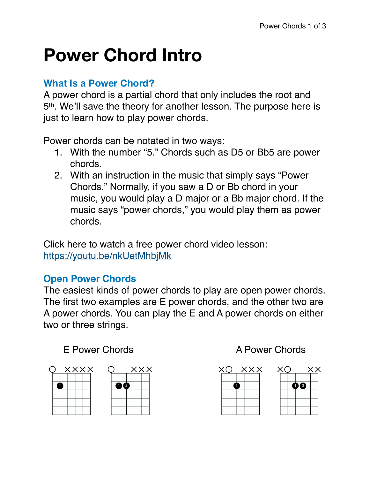# **Power Chord Intro**

### **What Is a Power Chord?**

A power chord is a partial chord that only includes the root and 5th. We'll save the theory for another lesson. The purpose here is just to learn how to play power chords.

Power chords can be notated in two ways:

- 1. With the number "5." Chords such as D5 or Bb5 are power chords.
- 2. With an instruction in the music that simply says "Power Chords." Normally, if you saw a D or Bb chord in your music, you would play a D major or a Bb major chord. If the music says "power chords," you would play them as power chords.

Click here to watch a free power chord video lesson: <https://youtu.be/nkUetMhbjMk>

## **Open Power Chords**

The easiest kinds of power chords to play are open power chords. The first two examples are E power chords, and the other two are A power chords. You can play the E and A power chords on either two or three strings.

## E Power Chords **A Power Chords**







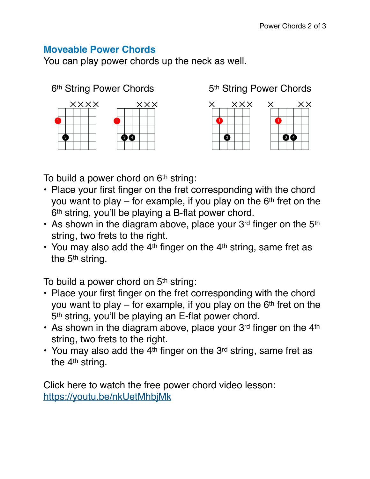#### **Moveable Power Chords**

You can play power chords up the neck as well.







To build a power chord on 6<sup>th</sup> string:

- Place your first finger on the fret corresponding with the chord you want to play  $-$  for example, if you play on the 6<sup>th</sup> fret on the 6th string, you'll be playing a B-flat power chord.
- As shown in the diagram above, place your  $3<sup>rd</sup>$  finger on the  $5<sup>th</sup>$ string, two frets to the right.
- You may also add the  $4<sup>th</sup>$  finger on the  $4<sup>th</sup>$  string, same fret as the 5<sup>th</sup> string.

To build a power chord on 5<sup>th</sup> string:

- Place your first finger on the fret corresponding with the chord you want to play  $-$  for example, if you play on the 6<sup>th</sup> fret on the 5th string, you'll be playing an E-flat power chord.
- As shown in the diagram above, place your  $3<sup>rd</sup>$  finger on the  $4<sup>th</sup>$ string, two frets to the right.
- You may also add the  $4<sup>th</sup>$  finger on the  $3<sup>rd</sup>$  string, same fret as the 4<sup>th</sup> string.

Click here to watch the free power chord video lesson: <https://youtu.be/nkUetMhbjMk>